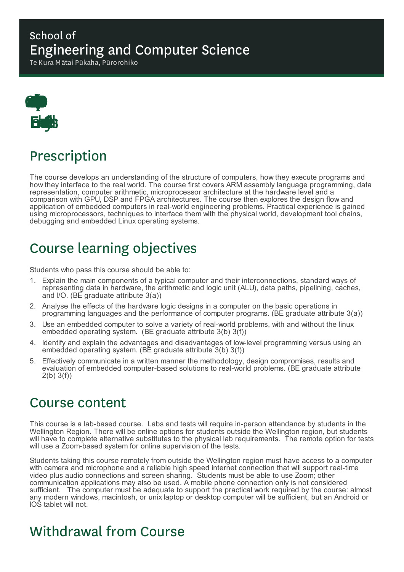### School of Engineering and Computer Science

Te Kura Mātai Pūkaha, Pūrorohiko



### Prescription

The course develops an understanding of the structure of computers, how they execute programs and how they interface to the real world. The course first covers ARM assembly language programming, data representation, computer arithmetic, microprocessor architecture at the hardware level and a comparison with GPU, DSP and FPGA architectures. The course then explores the design flow and application of embedded computers in real-world engineering problems. Practical experience is gained using microprocessors, techniques to interface them with the physical world, development tool chains, debugging and embedded Linux operating systems.

## Course learning objectives

Students who pass this course should be able to:

- 1. Explain the main components of a typical computer and their interconnections, standard ways of representing data in hardware, the arithmetic and logic unit (ALU), data paths, pipelining, caches, and I/O. (BE graduate attribute 3(a))
- 2. Analyse the effects of the hardware logic designs in a computer on the basic operations in programming languages and the performance of computer programs. (BE graduate attribute 3(a))
- 3. Use an embedded computer to solve a variety of real-world problems, with and without the linux embedded operating system. (BE graduate attribute 3(b) 3(f))
- 4. Identify and explain the advantages and disadvantages of low-level programming versus using an embedded operating system. (BE graduate attribute 3(b) 3(f))
- 5. Effectively communicate in a written manner the methodology, design compromises, results and evaluation of embedded computer-based solutions to real-world problems. (BE graduate attribute 2(b) 3(f))

### Course content

This course is a lab-based course. Labs and tests will require in-person attendance by students in the Wellington Region. There will be online options for students outside the Wellington region, but students will have to complete alternative substitutes to the physical lab requirements. The remote option for tests will use a Zoom-based system for online supervision of the tests.

Students taking this course remotely from outside the Wellington region must have access to a computer with camera and microphone and a reliable high speed internet connection that will support real-time video plus audio connections and screen sharing. Students must be able to use Zoom; other communication applications may also be used. A mobile phone connection only is not considered sufficient. The computer must be adequate to support the practical work required by the course: almost any modern windows, macintosh, or unix laptop or desktop computer will be sufficient, but an Android or IOS tablet will not.

### Withdrawal from Course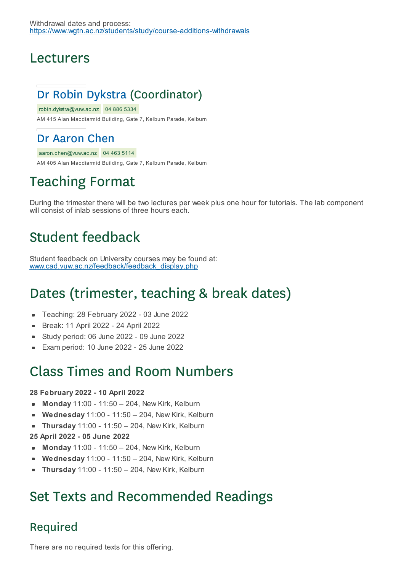### Lecturers

### Dr Robin Dykstra (Coordinator)

robin.dykstra@vuw.ac.nz 04 886 5334 AM 415 Alan Macdiarmid Building, Gate 7, Kelburn Parade, Kelburn

### Dr Aaron Chen

aaron.chen@vuw.ac.nz 04 463 5114

AM 405 Alan Macdiarmid Building, Gate 7, Kelburn Parade, Kelburn

# Teaching Format

During the trimester there will be two lectures per week plus one hour for tutorials. The lab component will consist of inlab sessions of three hours each.

# Student feedback

Student feedback on University courses may be found at: www.cad.vuw.ac.nz/feedback/feedback\_display.php

# Dates (trimester, teaching & break dates)

- Teaching: 28 February 2022 03 June 2022  $\blacksquare$
- Break: 11 April 2022 24 April 2022  $\blacksquare$
- $\blacksquare$ Study period: 06 June 2022 - 09 June 2022
- Exam period: 10 June 2022 25 June 2022

### Class Times and Room Numbers

#### **28 February 2022 - 10 April 2022**

- **Monday** 11:00 11:50 204, New Kirk, Kelburn
- **Wednesday** 11:00 11:50 204, New Kirk, Kelburn É
- **Thursday** 11:00 11:50 204, New Kirk, Kelburn  $\blacksquare$
- **25 April 2022 - 05 June 2022**
- **Monday** 11:00 11:50 204, New Kirk, Kelburn
- **Wednesday** 11:00 11:50 204, New Kirk, Kelburn  $\blacksquare$
- **Thursday** 11:00 11:50 204, New Kirk, Kelburn É

### Set Texts and Recommended Readings

### Required

There are no required texts for this offering.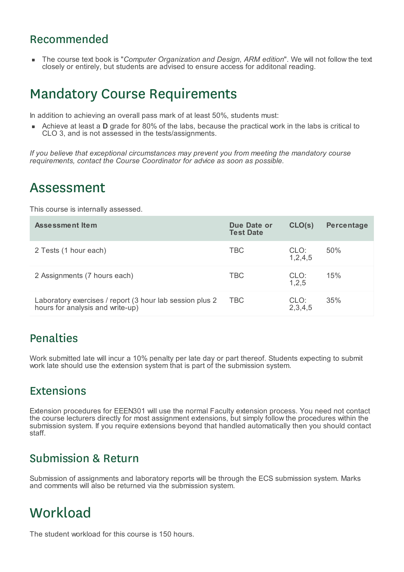#### Recommended

The course text book is "*Computer Organization and Design, ARM edition*". We will not follow the text closely or entirely, but students are advised to ensure access for additonal reading.

### Mandatory Course Requirements

In addition to achieving an overall pass mark of at least 50%, students must:

Achieve at least a **D** grade for 80% of the labs, because the practical work in the labs is critical to CLO 3, and is not assessed in the tests/assignments.

*If you believe that exceptional circumstances may prevent you from meeting the mandatory course requirements, contact the Course Coordinator for advice as soon as possible.*

### Assessment

This course is internally assessed.

| Assessment Item                                                                              | Due Date or<br><b>Test Date</b> | CLO(s)          | <b>Percentage</b> |
|----------------------------------------------------------------------------------------------|---------------------------------|-----------------|-------------------|
| 2 Tests (1 hour each)                                                                        | <b>TBC</b>                      | CLO:<br>1,2,4,5 | 50%               |
| 2 Assignments (7 hours each)                                                                 | <b>TBC</b>                      | CLO:<br>1,2,5   | 15%               |
| Laboratory exercises / report (3 hour lab session plus 2<br>hours for analysis and write-up) | TBC.                            | CLO:<br>2,3,4,5 | 35%               |

#### Penalties

Work submitted late will incur a 10% penalty per late day or part thereof. Students expecting to submit work late should use the extension system that is part of the submission system.

#### Extensions

Extension procedures for EEEN301 will use the normal Faculty extension process. You need not contact the course lecturers directly for most assignment extensions, but simply follow the procedures within the submission system. If you require extensions beyond that handled automatically then you should contact staff.

#### Submission & Return

Submission of assignments and laboratory reports will be through the ECS submission system. Marks and comments will also be returned via the submission system.

### **Workload**

The student workload for this course is 150 hours.